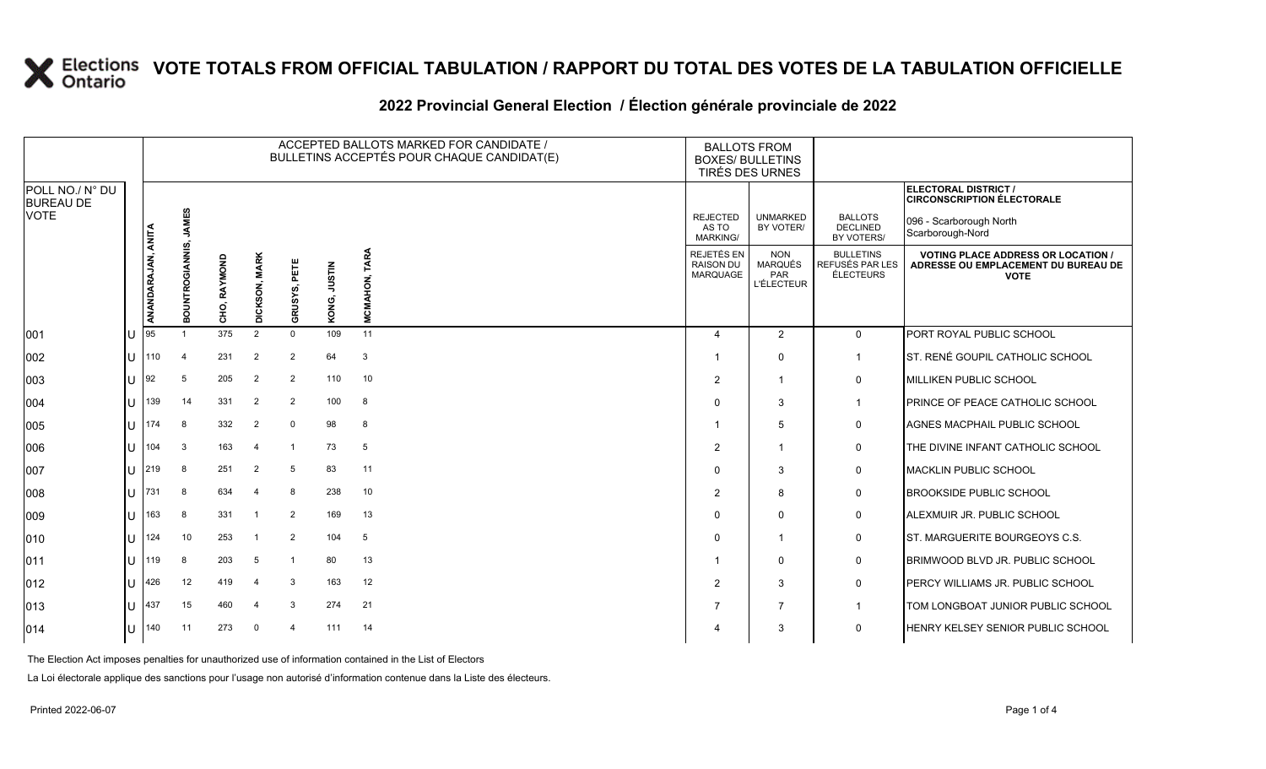|  | 2022 Provincial General Election / Election générale provinciale de 2022 |
|--|--------------------------------------------------------------------------|
|--|--------------------------------------------------------------------------|

|                                     |              |                    |                         |                 |                |                         |                        | ACCEPTED BALLOTS MARKED FOR CANDIDATE /<br>BULLETINS ACCEPTÉS POUR CHAQUE CANDIDAT(E) | <b>BALLOTS FROM</b>                                      | <b>BOXES/ BULLETINS</b><br>TIRÉS DES URNES                      |                                                  |                                                                                               |
|-------------------------------------|--------------|--------------------|-------------------------|-----------------|----------------|-------------------------|------------------------|---------------------------------------------------------------------------------------|----------------------------------------------------------|-----------------------------------------------------------------|--------------------------------------------------|-----------------------------------------------------------------------------------------------|
| POLL NO./ N° DU<br><b>BUREAU DE</b> |              |                    |                         |                 |                |                         |                        |                                                                                       |                                                          |                                                                 |                                                  | ELECTORAL DISTRICT /<br><b>CIRCONSCRIPTION ÉLECTORALE</b>                                     |
| <b>VOTE</b>                         |              |                    | <b>JAMES</b><br>ທົ      |                 |                |                         |                        |                                                                                       | <b>REJECTED</b><br>AS TO<br>MARKING/                     | <b>UNMARKED</b><br>BY VOTER/                                    | <b>BALLOTS</b><br><b>DECLINED</b><br>BY VOTERS/  | 096 - Scarborough North<br>Scarborough-Nord                                                   |
|                                     |              | ANANDARAJAN, ANITA | NTROGIANNI<br>ō<br>ŏ    | RAYMOND<br>CHO, | DICKSON, MARK  | 固<br>GRUSYS,            | <b>NILSIN</b><br>KONG, | ≵<br>존<br>ξ<br>ž.                                                                     | <b>REJETÉS EN</b><br><b>RAISON DU</b><br><b>MARQUAGE</b> | <b>NON</b><br><b>MARQUÉS</b><br><b>PAR</b><br><b>L'ÉLECTEUR</b> | <b>BULLETINS</b><br>REFUSÉS PAR LES<br>ÉLECTEURS | <b>VOTING PLACE ADDRESS OR LOCATION</b><br>ADRESSE OU EMPLACEMENT DU BUREAU DE<br><b>VOTE</b> |
| 001                                 |              | 95                 |                         | 375             | $\overline{2}$ | $\Omega$                | 109                    | 11                                                                                    | $\overline{4}$                                           | 2                                                               | $\mathbf 0$                                      | PORT ROYAL PUBLIC SCHOOL                                                                      |
| 002                                 | $\cup$       | 110                | $\overline{\mathbf{4}}$ | 231             | $\overline{2}$ | $\overline{2}$          | 64                     | 3                                                                                     |                                                          | $\Omega$                                                        | $\mathbf 1$                                      | ST. RENÉ GOUPIL CATHOLIC SCHOOL                                                               |
| 003                                 | lU           | 192                | 5                       | 205             | $\overline{2}$ | $\overline{2}$          | 110                    | 10                                                                                    | $\overline{2}$                                           | $\mathbf{1}$                                                    | 0                                                | MILLIKEN PUBLIC SCHOOL                                                                        |
| 004                                 | $\cup$       | 139                | 14                      | 331             | $\overline{2}$ | 2                       | 100                    | 8                                                                                     | $\Omega$                                                 | 3                                                               | -1                                               | <b>PRINCE OF PEACE CATHOLIC SCHOOL</b>                                                        |
| 005                                 | $\mathsf{U}$ | 174                | 8                       | 332             | $\overline{2}$ | $\Omega$                | 98                     | 8                                                                                     |                                                          | 5                                                               | 0                                                | AGNES MACPHAIL PUBLIC SCHOOL                                                                  |
| 006                                 | lU           | 104                | 3                       | 163             | $\overline{4}$ | -1                      | 73                     | $5\phantom{.0}$                                                                       | $\mathcal{P}$                                            | $\mathbf{1}$                                                    | 0                                                | THE DIVINE INFANT CATHOLIC SCHOOL                                                             |
| 007                                 | U            | 219                | 8                       | 251             | $\overline{2}$ | 5                       | 83                     | 11                                                                                    | $\Omega$                                                 | 3                                                               | 0                                                | <b>MACKLIN PUBLIC SCHOOL</b>                                                                  |
| 008                                 | U            | 731                | 8                       | 634             | $\overline{4}$ | 8                       | 238                    | 10                                                                                    | 2                                                        | 8                                                               | 0                                                | <b>BROOKSIDE PUBLIC SCHOOL</b>                                                                |
| 009                                 | lυ           | 163                | 8                       | 331             | -1             | $\overline{2}$          | 169                    | 13                                                                                    | $\Omega$                                                 | $\Omega$                                                        | 0                                                | ALEXMUIR JR. PUBLIC SCHOOL                                                                    |
| 010                                 | lU           | 124                | 10                      | 253             |                | $\overline{2}$          | 104                    | 5                                                                                     | $\Omega$                                                 | $\mathbf 1$                                                     | 0                                                | ST. MARGUERITE BOURGEOYS C.S.                                                                 |
| 011                                 | U            | 119                | 8                       | 203             | 5              | $\overline{\mathbf{1}}$ | 80                     | 13                                                                                    |                                                          | $\Omega$                                                        | 0                                                | BRIMWOOD BLVD JR. PUBLIC SCHOOL                                                               |
| 012                                 | lU           | 426                | 12                      | 419             | $\overline{4}$ | 3                       | 163                    | 12                                                                                    | $\overline{2}$                                           | 3                                                               | 0                                                | PERCY WILLIAMS JR. PUBLIC SCHOOL                                                              |
| 013                                 | lU           | 437                | 15                      | 460             | -4             | 3                       | 274                    | 21                                                                                    | 7                                                        | $\overline{7}$                                                  |                                                  | TOM LONGBOAT JUNIOR PUBLIC SCHOOL                                                             |
| 014                                 | U            | 140                | 11                      | 273             | $\Omega$       | 4                       | 111                    | 14                                                                                    |                                                          | 3                                                               | 0                                                | HENRY KELSEY SENIOR PUBLIC SCHOOL                                                             |

The Election Act imposes penalties for unauthorized use of information contained in the List of Electors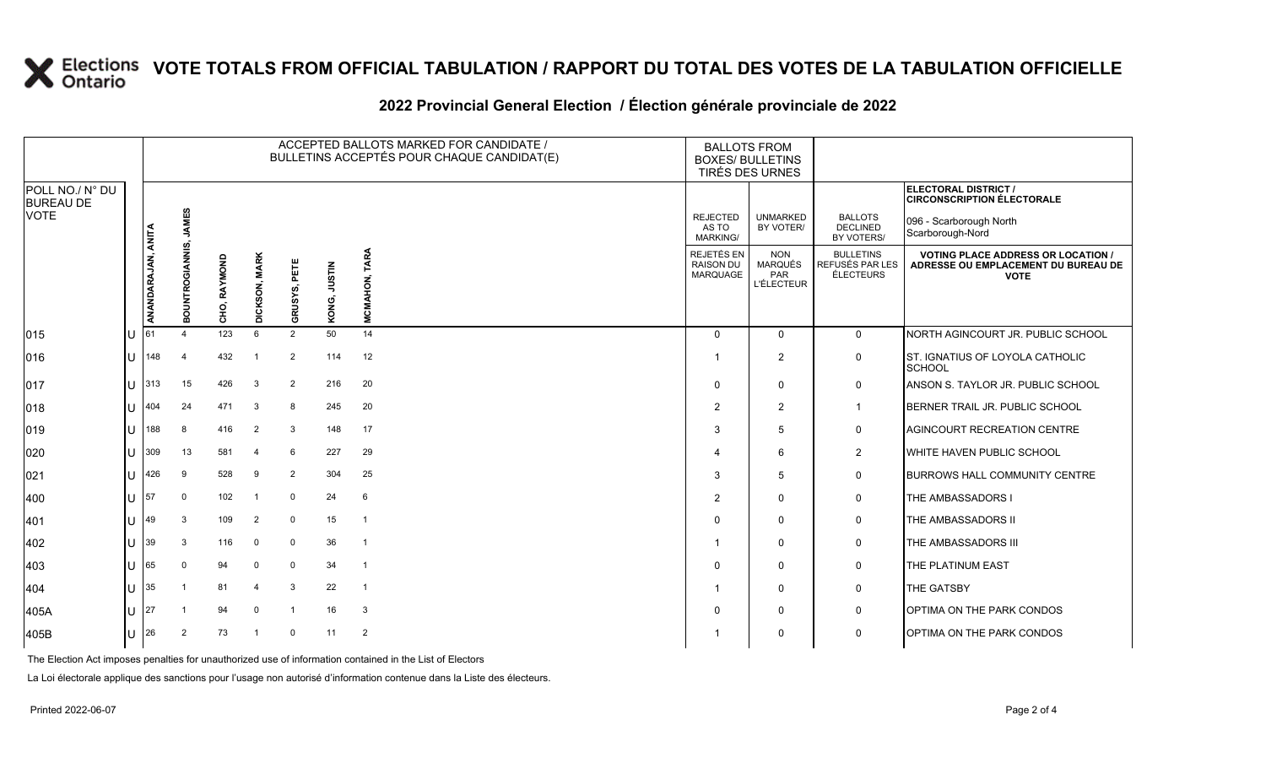|                                                    |        | ACCEPTED BALLOTS MARKED FOR CANDIDATE /<br>BULLETINS ACCEPTÉS POUR CHAQUE CANDIDAT(E) |                 |              |                       |                         |                        |                 | <b>BALLOTS FROM</b><br><b>BOXES/ BULLETINS</b>    | TIRÉS DES URNES                                          |                                                         |                                                                                                 |
|----------------------------------------------------|--------|---------------------------------------------------------------------------------------|-----------------|--------------|-----------------------|-------------------------|------------------------|-----------------|---------------------------------------------------|----------------------------------------------------------|---------------------------------------------------------|-------------------------------------------------------------------------------------------------|
| POLL NO./ N° DU<br><b>BUREAU DE</b><br><b>VOTE</b> |        |                                                                                       |                 |              |                       |                         |                        |                 |                                                   |                                                          |                                                         | ELECTORAL DISTRICT /<br><b>CIRCONSCRIPTION ÉLECTORALE</b>                                       |
|                                                    |        |                                                                                       | <b>JAMES</b>    |              |                       |                         |                        |                 | <b>REJECTED</b><br>AS TO<br><b>MARKING/</b>       | <b>UNMARKED</b><br>BY VOTER/                             | <b>BALLOTS</b><br>DECLINED<br>BY VOTERS/                | 096 - Scarborough North<br>Scarborough-Nord                                                     |
|                                                    |        | ANANDARAJAN, ANITA                                                                    | BOUNTROGIANNIS, | CHO, RAYMOND | <b>DICKSON, MARK</b>  | PETE<br>RUSYS,          | <b>NILSIN</b><br>KONG, | TARA<br>CMAHON, | <b>REJETÉS EN</b><br><b>RAISON DU</b><br>MARQUAGE | <b>NON</b><br><b>MARQUÉS</b><br>PAR<br><b>L'ÉLECTEUR</b> | <b>BULLETINS</b><br>REFUSÉS PAR LES<br><b>ÉLECTEURS</b> | <b>VOTING PLACE ADDRESS OR LOCATION /</b><br>ADRESSE OU EMPLACEMENT DU BUREAU DE<br><b>VOTE</b> |
| 015                                                |        | 61                                                                                    |                 | 123          | 6                     | ত<br>$\overline{2}$     | 50                     | Σ<br>14         | $\Omega$                                          | $\Omega$                                                 | $\Omega$                                                | NORTH AGINCOURT JR. PUBLIC SCHOOL                                                               |
| 016                                                |        | 148                                                                                   | $\overline{4}$  | 432          | -1                    | $\overline{2}$          | 114                    | 12              | -1                                                | $\overline{2}$                                           | $\mathbf 0$                                             | ST. IGNATIUS OF LOYOLA CATHOLIC<br><b>SCHOOL</b>                                                |
| 017                                                |        | 313                                                                                   | 15              | 426          | 3                     | $\overline{2}$          | 216                    | 20              | $\mathbf{0}$                                      | $\mathbf 0$                                              | $\mathbf 0$                                             | ANSON S. TAYLOR JR. PUBLIC SCHOOL                                                               |
| 018                                                |        | 404                                                                                   | 24              | 471          | -3                    | 8                       | 245                    | 20              | $\overline{2}$                                    | $\overline{2}$                                           | $\overline{1}$                                          | BERNER TRAIL JR. PUBLIC SCHOOL                                                                  |
| 019                                                |        | 188                                                                                   | 8               | 416          | $\overline{2}$        | 3                       | 148                    | 17              | 3                                                 | 5                                                        | $\mathbf 0$                                             | AGINCOURT RECREATION CENTRE                                                                     |
| 020                                                |        | 309                                                                                   | 13              | 581          | $\overline{4}$        | 6                       | 227                    | 29              | $\overline{\mathbf{4}}$                           | 6                                                        | $\overline{2}$                                          | WHITE HAVEN PUBLIC SCHOOL                                                                       |
| 021                                                |        | 426                                                                                   | 9               | 528          | -9                    | $\overline{2}$          | 304                    | 25              | 3                                                 | 5                                                        | $\mathbf 0$                                             | <b>BURROWS HALL COMMUNITY CENTRE</b>                                                            |
| 400                                                |        | 57                                                                                    | $\mathbf 0$     | 102          | $\overline{1}$        | $\mathbf 0$             | 24                     | 6               | $\overline{2}$                                    | $\mathbf 0$                                              | $\mathbf 0$                                             | THE AMBASSADORS I                                                                               |
| 401                                                |        | 49                                                                                    | 3               | 109          | $\overline{2}$        | $\mathbf 0$             | 15                     | $\overline{1}$  | $\Omega$                                          | $\mathbf 0$                                              | $\mathbf 0$                                             | THE AMBASSADORS II                                                                              |
| 402                                                |        | 39                                                                                    | 3               | 116          | $\mathbf 0$           | $\mathbf 0$             | 36                     | $\overline{1}$  | -1                                                | $\mathbf 0$                                              | $\mathbf 0$                                             | THE AMBASSADORS III                                                                             |
| 403                                                |        | 65                                                                                    | $\mathbf 0$     | 94           | $\Omega$              | $\mathbf 0$             | 34                     | $\overline{1}$  | $\Omega$                                          | $\mathbf 0$                                              | $\mathbf 0$                                             | THE PLATINUM EAST                                                                               |
| 404                                                |        | 35                                                                                    | -1              | 81           | $\boldsymbol{\Delta}$ | 3                       | 22                     | $\overline{1}$  | -1                                                | $\mathbf 0$                                              | $\mathbf 0$                                             | THE GATSBY                                                                                      |
| 405A                                               |        | 27                                                                                    |                 | 94           | $\Omega$              | $\mathbf{\overline{1}}$ | 16                     | 3               | $\Omega$                                          | $\mathbf 0$                                              | 0                                                       | <b>OPTIMA ON THE PARK CONDOS</b>                                                                |
| 405B                                               | $\cup$ | 26                                                                                    | $\overline{2}$  | 73           | -1                    | $\mathbf 0$             | 11                     | $\overline{2}$  | -1                                                | $\mathbf 0$                                              | $\mathbf 0$                                             | <b>OPTIMA ON THE PARK CONDOS</b>                                                                |
|                                                    |        |                                                                                       |                 |              |                       |                         |                        |                 |                                                   |                                                          |                                                         |                                                                                                 |

#### **2022 Provincial General Election / Élection générale provinciale de 2022**

The Election Act imposes penalties for unauthorized use of information contained in the List of Electors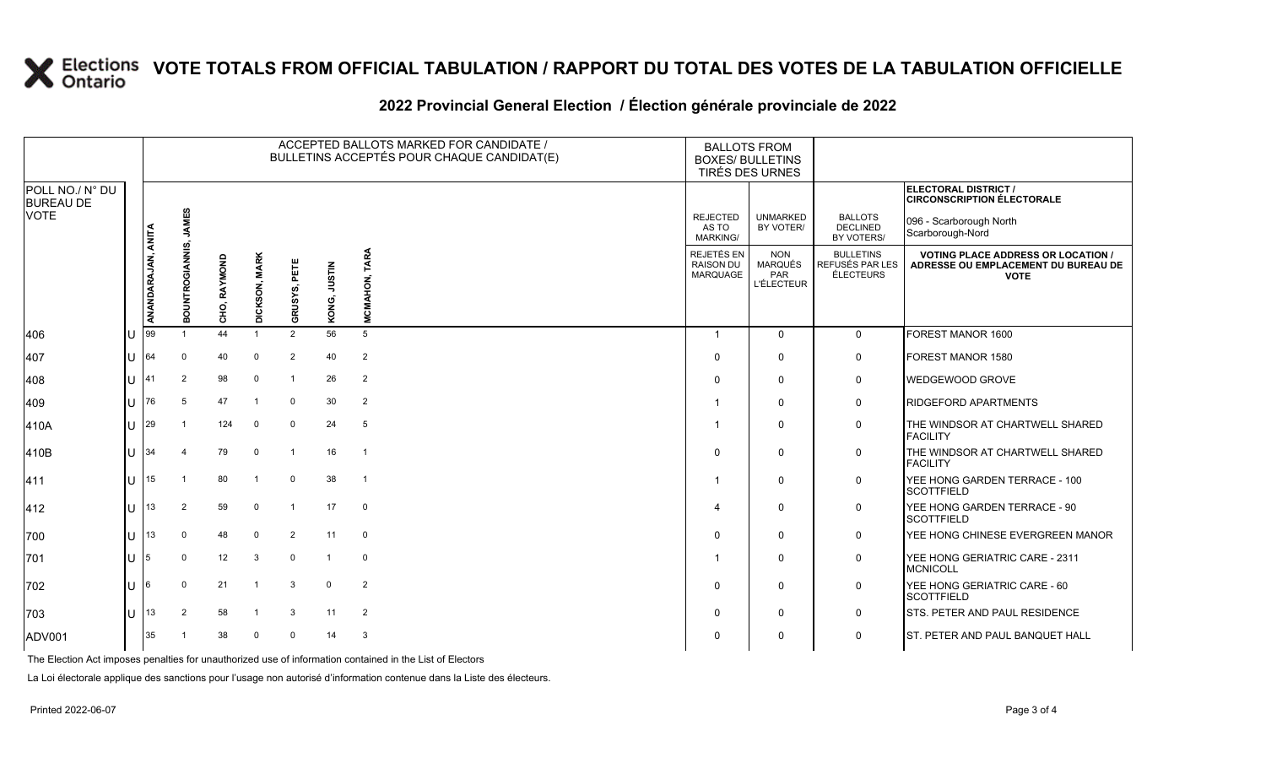#### **2022 Provincial General Election / Élection générale provinciale de 2022**

|                                     |     |                    |                 |              |                         |                |                        | ACCEPTED BALLOTS MARKED FOR CANDIDATE /<br>BULLETINS ACCEPTÉS POUR CHAQUE CANDIDAT(E) | <b>BALLOTS FROM</b><br><b>BOXES/ BULLETINS</b><br>TIRÉS DES URNES |                                                   |                                                  |                                                                                                 |
|-------------------------------------|-----|--------------------|-----------------|--------------|-------------------------|----------------|------------------------|---------------------------------------------------------------------------------------|-------------------------------------------------------------------|---------------------------------------------------|--------------------------------------------------|-------------------------------------------------------------------------------------------------|
| POLL NO./ N° DU<br><b>BUREAU DE</b> |     |                    |                 |              |                         |                |                        |                                                                                       |                                                                   |                                                   |                                                  | ELECTORAL DISTRICT /<br><b>CIRCONSCRIPTION ÉLECTORALE</b>                                       |
| VOTE                                |     |                    | <b>JAMES</b>    |              |                         |                |                        |                                                                                       | <b>REJECTED</b><br>AS TO<br>MARKING/                              | <b>UNMARKED</b><br>BY VOTER/                      | <b>BALLOTS</b><br><b>DECLINED</b><br>BY VOTERS/  | 096 - Scarborough North<br>Scarborough-Nord                                                     |
|                                     |     | ANANDARAJAN, ANITA | BOUNTROGIANNIS, | CHO, RAYMOND | <b>MARK</b><br>DICKSON, | GRUSYS, PETE   | <b>NILSIN</b><br>KONG, | <b>TARA</b><br><b>MCMAHON,</b>                                                        | REJETÉS EN<br><b>RAISON DU</b><br><b>MARQUAGE</b>                 | <b>NON</b><br>MARQUÉS<br>PAR<br><b>L'ÉLECTEUR</b> | <b>BULLETINS</b><br>REFUSÉS PAR LES<br>ÉLECTEURS | <b>VOTING PLACE ADDRESS OR LOCATION /</b><br>ADRESSE OU EMPLACEMENT DU BUREAU DE<br><b>VOTE</b> |
| 406                                 |     | 99                 |                 | 44           |                         | $\overline{2}$ | 56                     | 5                                                                                     | -1                                                                | $\mathbf{0}$                                      | $\mathbf 0$                                      | FOREST MANOR 1600                                                                               |
| 407                                 |     | 64                 | $\Omega$        | 40           | $\overline{0}$          | $\overline{2}$ | 40                     | $\overline{2}$                                                                        | 0                                                                 | $\mathbf 0$                                       | 0                                                | FOREST MANOR 1580                                                                               |
| 408                                 | lU  | 41                 | 2               | 98           | 0                       | $\mathbf{1}$   | 26                     | 2                                                                                     | $\Omega$                                                          | $\mathbf 0$                                       | $\mathbf 0$                                      | WEDGEWOOD GROVE                                                                                 |
| 409                                 | IU  | 76                 | 5               | 47           | -1                      | $\mathbf 0$    | 30                     | 2                                                                                     | -1                                                                | 0                                                 | 0                                                | RIDGEFORD APARTMENTS                                                                            |
| 410A                                | lU  | 29                 |                 | 124          | $\mathbf 0$             | $\mathbf 0$    | 24                     | 5                                                                                     | -1                                                                | $\mathbf 0$                                       | 0                                                | THE WINDSOR AT CHARTWELL SHARED<br><b>FACILITY</b>                                              |
| 410B                                | IП  | 34                 |                 | 79           | $\overline{0}$          | $\mathbf{1}$   | 16                     | $\overline{\phantom{0}}$ 1                                                            | $\Omega$                                                          | $\Omega$                                          | 0                                                | THE WINDSOR AT CHARTWELL SHARED<br><b>FACILITY</b>                                              |
| 411                                 | ΙU  | 15                 |                 | 80           | -1                      | $\mathbf 0$    | 38                     | $\overline{1}$                                                                        | -1                                                                | 0                                                 | 0                                                | YEE HONG GARDEN TERRACE - 100<br><b>SCOTTFIELD</b>                                              |
| 412                                 | ΙU  | 13                 | 2               | 59           | $\overline{0}$          | $\overline{1}$ | 17                     | $\mathbf 0$                                                                           | 4                                                                 | $\mathbf 0$                                       | 0                                                | YEE HONG GARDEN TERRACE - 90<br><b>SCOTTFIELD</b>                                               |
| 700                                 | ΙU  | 13                 | $\Omega$        | 48           | $\overline{0}$          | $\overline{2}$ | 11                     | $\mathbf 0$                                                                           | $\Omega$                                                          | $\Omega$                                          | 0                                                | YEE HONG CHINESE EVERGREEN MANOR                                                                |
| 701                                 | lU. | 5                  | $\Omega$        | 12           | -3                      | $\mathbf 0$    | $\mathbf{1}$           | $\mathbf 0$                                                                           | -1                                                                | $\Omega$                                          | 0                                                | YEE HONG GERIATRIC CARE - 2311<br><b>MCNICOLL</b>                                               |
| 702                                 | lU  | 6                  | $\Omega$        | 21           | $\overline{\mathbf{1}}$ | 3              | $\mathbf 0$            | $\overline{2}$                                                                        | $\Omega$                                                          | $\mathbf 0$                                       | 0                                                | YEE HONG GERIATRIC CARE - 60<br><b>SCOTTFIELD</b>                                               |
| 703                                 | ΙU  | 13                 | 2               | 58           |                         | 3              | 11                     | 2                                                                                     | 0                                                                 | $\Omega$                                          | $\mathbf 0$                                      | STS. PETER AND PAUL RESIDENCE                                                                   |
| ADV001                              |     | 35                 |                 | 38           | $\Omega$                | $\Omega$       | 14                     | 3                                                                                     | $\Omega$                                                          | 0                                                 | $\mathbf 0$                                      | ST. PETER AND PAUL BANQUET HALL                                                                 |

The Election Act imposes penalties for unauthorized use of information contained in the List of Electors